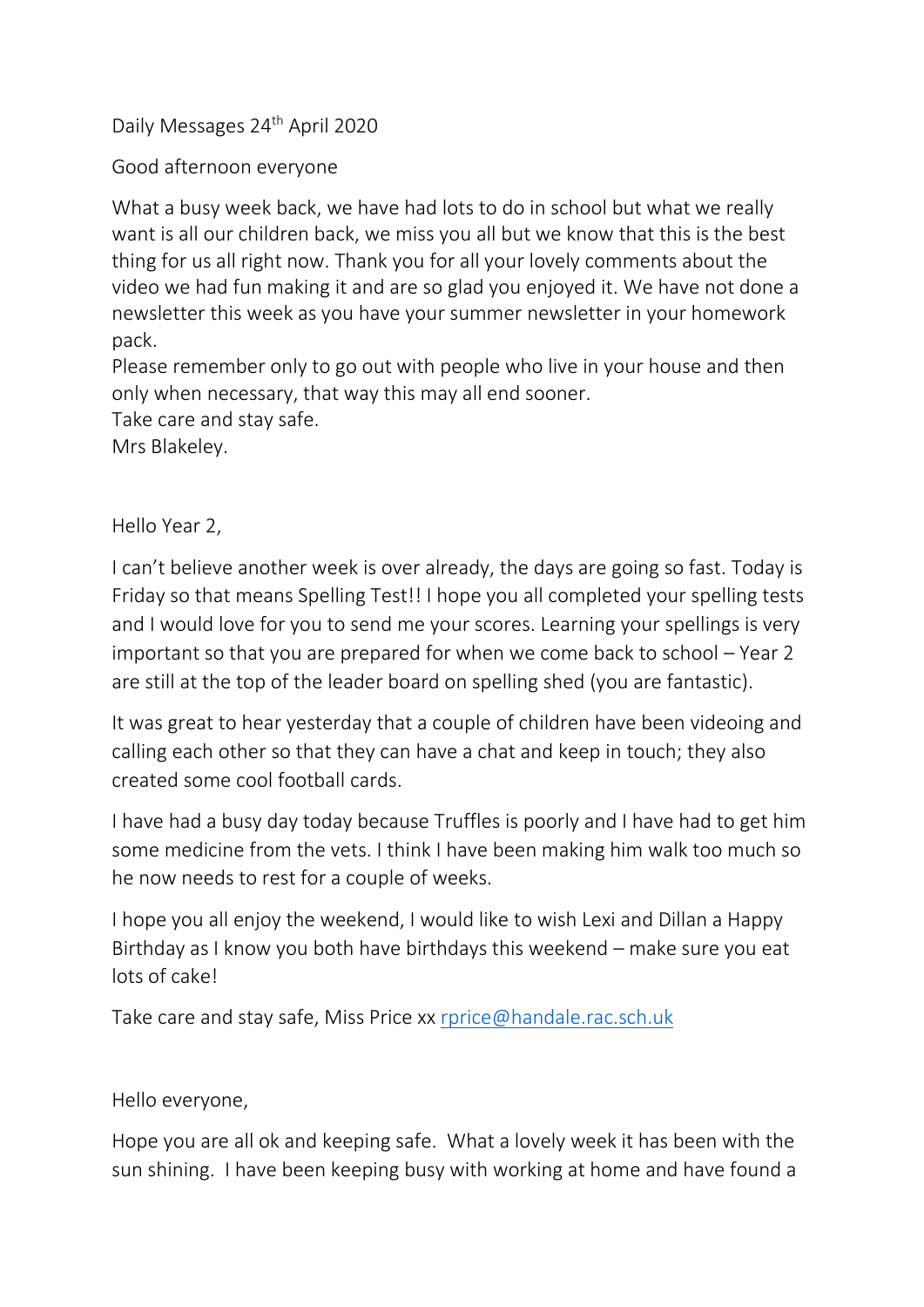Daily Messages 24<sup>th</sup> April 2020

Good afternoon everyone

What a busy week back, we have had lots to do in school but what we really want is all our children back, we miss you all but we know that this is the best thing for us all right now. Thank you for all your lovely comments about the video we had fun making it and are so glad you enjoyed it. We have not done a newsletter this week as you have your summer newsletter in your homework pack.

Please remember only to go out with people who live in your house and then only when necessary, that way this may all end sooner.

Take care and stay safe.

Mrs Blakeley.

Hello Year 2,

I can't believe another week is over already, the days are going so fast. Today is Friday so that means Spelling Test!! I hope you all completed your spelling tests and I would love for you to send me your scores. Learning your spellings is very important so that you are prepared for when we come back to school – Year 2 are still at the top of the leader board on spelling shed (you are fantastic).

It was great to hear yesterday that a couple of children have been videoing and calling each other so that they can have a chat and keep in touch; they also created some cool football cards.

I have had a busy day today because Truffles is poorly and I have had to get him some medicine from the vets. I think I have been making him walk too much so he now needs to rest for a couple of weeks.

I hope you all enjoy the weekend, I would like to wish Lexi and Dillan a Happy Birthday as I know you both have birthdays this weekend – make sure you eat lots of cake!

Take care and stay safe, Miss Price xx [rprice@handale.rac.sch.uk](mailto:rprice@handale.rac.sch.uk)

Hello everyone,

Hope you are all ok and keeping safe. What a lovely week it has been with the sun shining. I have been keeping busy with working at home and have found a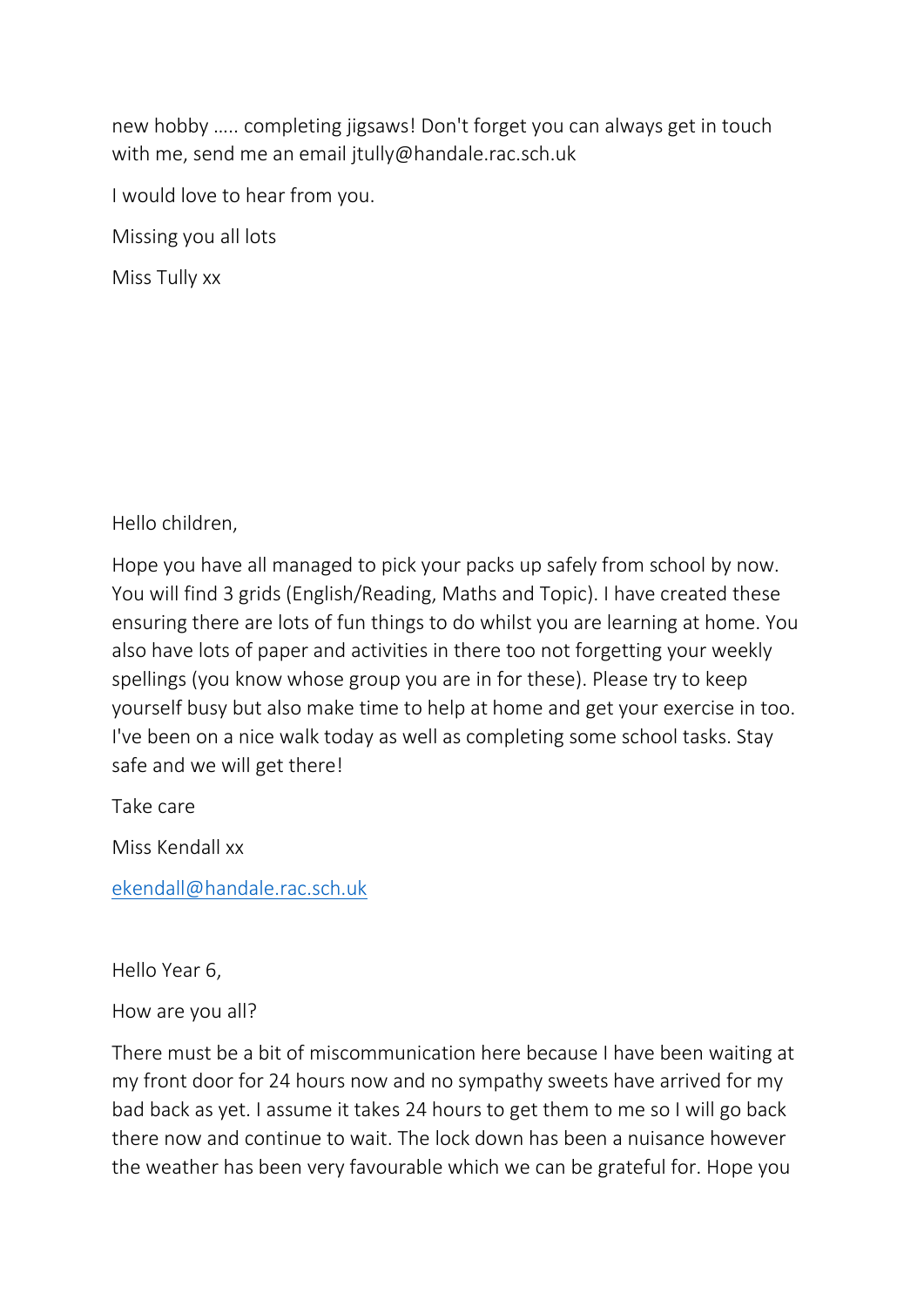new hobby ….. completing jigsaws! Don't forget you can always get in touch with me, send me an email jtully@handale.rac.sch.uk

I would love to hear from you.

Missing you all lots

Miss Tully xx

Hello children,

Hope you have all managed to pick your packs up safely from school by now. You will find 3 grids (English/Reading, Maths and Topic). I have created these ensuring there are lots of fun things to do whilst you are learning at home. You also have lots of paper and activities in there too not forgetting your weekly spellings (you know whose group you are in for these). Please try to keep yourself busy but also make time to help at home and get your exercise in too. I've been on a nice walk today as well as completing some school tasks. Stay safe and we will get there!

Take care

Miss Kendall xx

[ekendall@handale.rac.sch.uk](mailto:ekendall@handale.rac.sch.uk)

Hello Year 6,

## How are you all?

There must be a bit of miscommunication here because I have been waiting at my front door for 24 hours now and no sympathy sweets have arrived for my bad back as yet. I assume it takes 24 hours to get them to me so I will go back there now and continue to wait. The lock down has been a nuisance however the weather has been very favourable which we can be grateful for. Hope you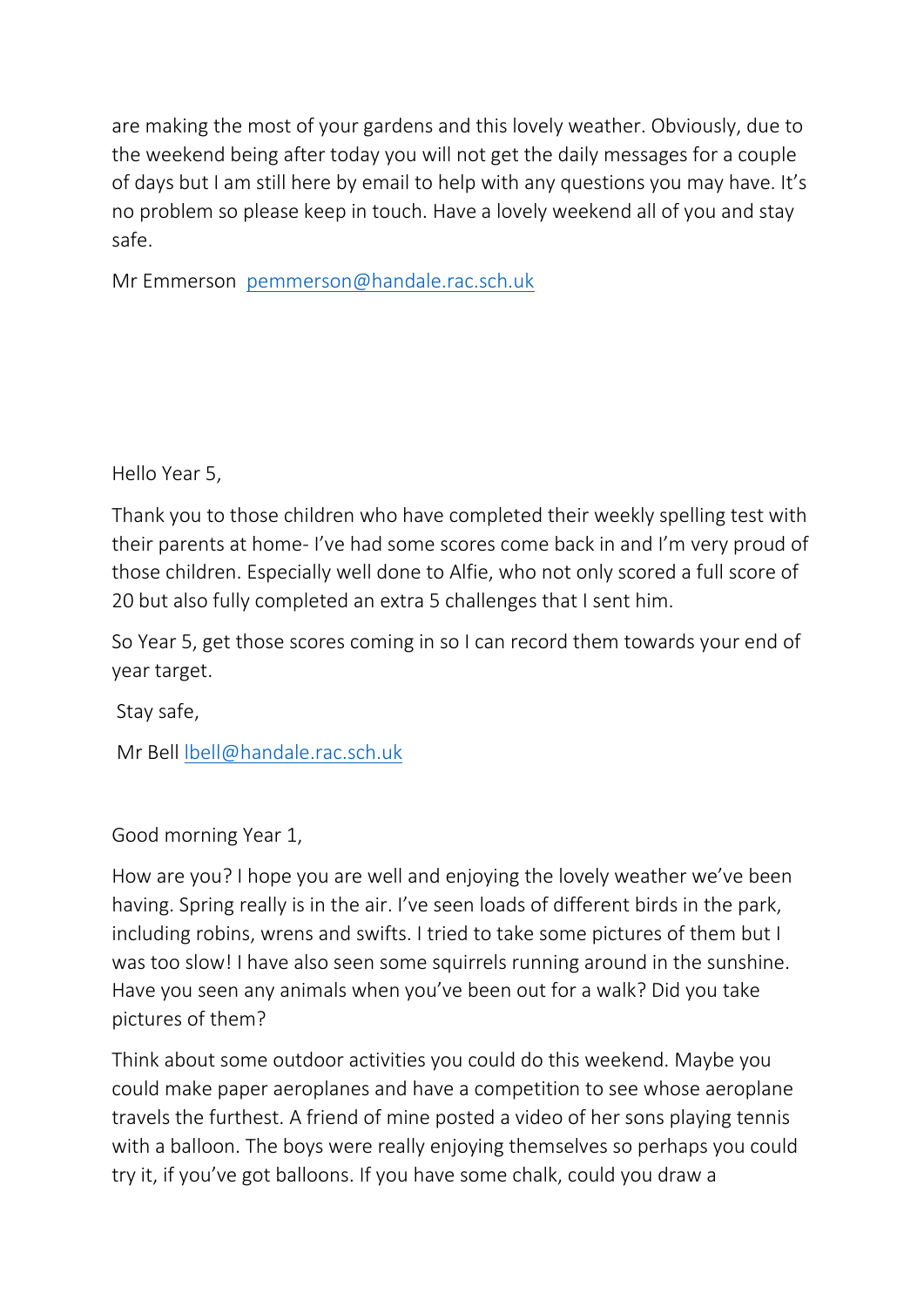are making the most of your gardens and this lovely weather. Obviously, due to the weekend being after today you will not get the daily messages for a couple of days but I am still here by email to help with any questions you may have. It's no problem so please keep in touch. Have a lovely weekend all of you and stay safe.

Mr Emmerson [pemmerson@handale.rac.sch.uk](mailto:pemmerson@handale.rac.sch.uk)

Hello Year 5,

Thank you to those children who have completed their weekly spelling test with their parents at home- I've had some scores come back in and I'm very proud of those children. Especially well done to Alfie, who not only scored a full score of 20 but also fully completed an extra 5 challenges that I sent him.

So Year 5, get those scores coming in so I can record them towards your end of year target.

Stay safe,

Mr Bell [lbell@handale.rac.sch.uk](mailto:lbell@handale.rac.sch.uk)

Good morning Year 1,

How are you? I hope you are well and enjoying the lovely weather we've been having. Spring really is in the air. I've seen loads of different birds in the park, including robins, wrens and swifts. I tried to take some pictures of them but I was too slow! I have also seen some squirrels running around in the sunshine. Have you seen any animals when you've been out for a walk? Did you take pictures of them?

Think about some outdoor activities you could do this weekend. Maybe you could make paper aeroplanes and have a competition to see whose aeroplane travels the furthest. A friend of mine posted a video of her sons playing tennis with a balloon. The boys were really enjoying themselves so perhaps you could try it, if you've got balloons. If you have some chalk, could you draw a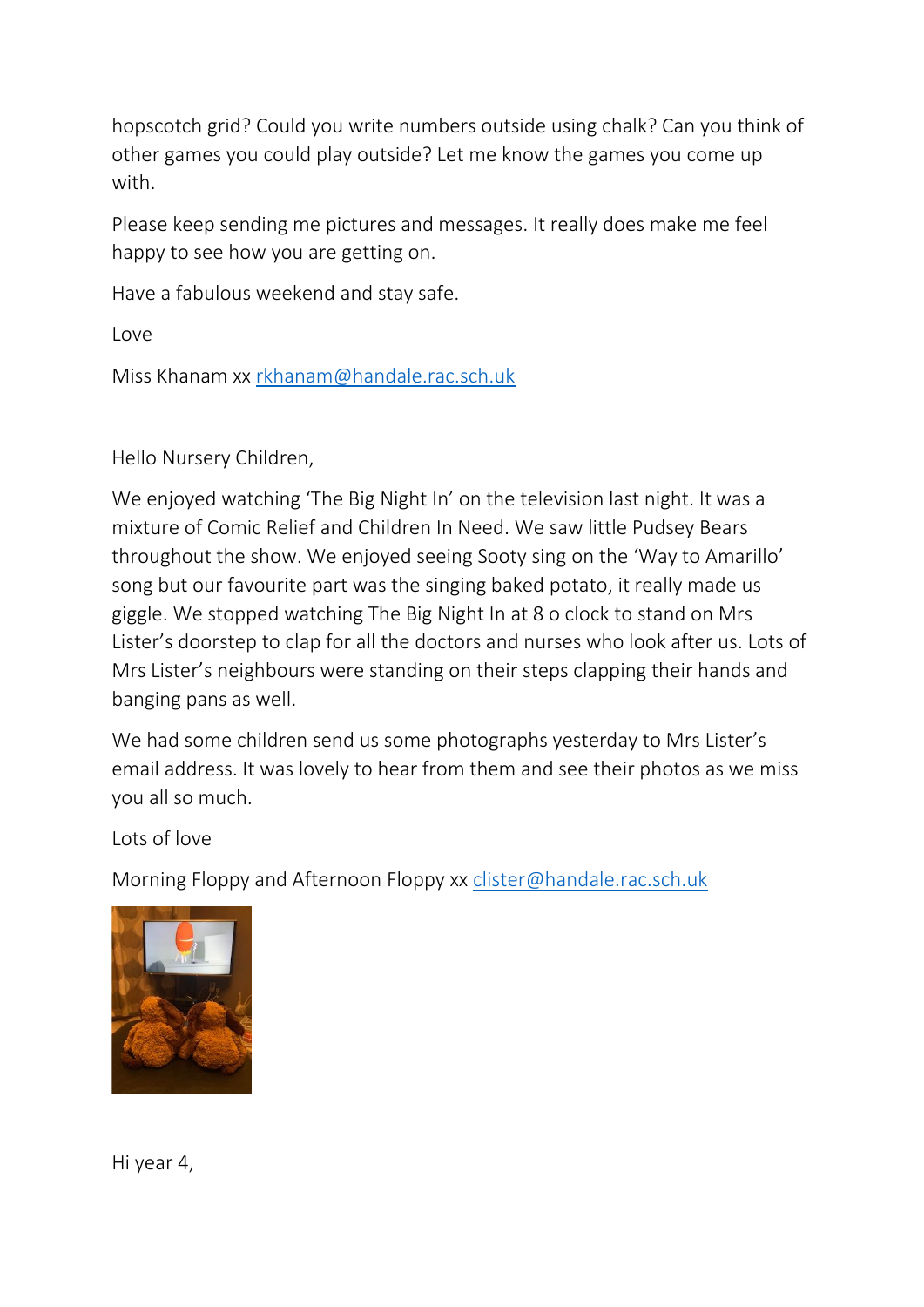hopscotch grid? Could you write numbers outside using chalk? Can you think of other games you could play outside? Let me know the games you come up with.

Please keep sending me pictures and messages. It really does make me feel happy to see how you are getting on.

Have a fabulous weekend and stay safe.

Love

Miss Khanam xx [rkhanam@handale.rac.sch.uk](mailto:rkhanam@handale.rac.sch.uk)

## Hello Nursery Children,

We enjoyed watching 'The Big Night In' on the television last night. It was a mixture of Comic Relief and Children In Need. We saw little Pudsey Bears throughout the show. We enjoyed seeing Sooty sing on the 'Way to Amarillo' song but our favourite part was the singing baked potato, it really made us giggle. We stopped watching The Big Night In at 8 o clock to stand on Mrs Lister's doorstep to clap for all the doctors and nurses who look after us. Lots of Mrs Lister's neighbours were standing on their steps clapping their hands and banging pans as well.

We had some children send us some photographs yesterday to Mrs Lister's email address. It was lovely to hear from them and see their photos as we miss you all so much.

Lots of love

Morning Floppy and Afternoon Floppy xx [clister@handale.rac.sch.uk](mailto:clister@handale.rac.sch.uk)



Hi year 4,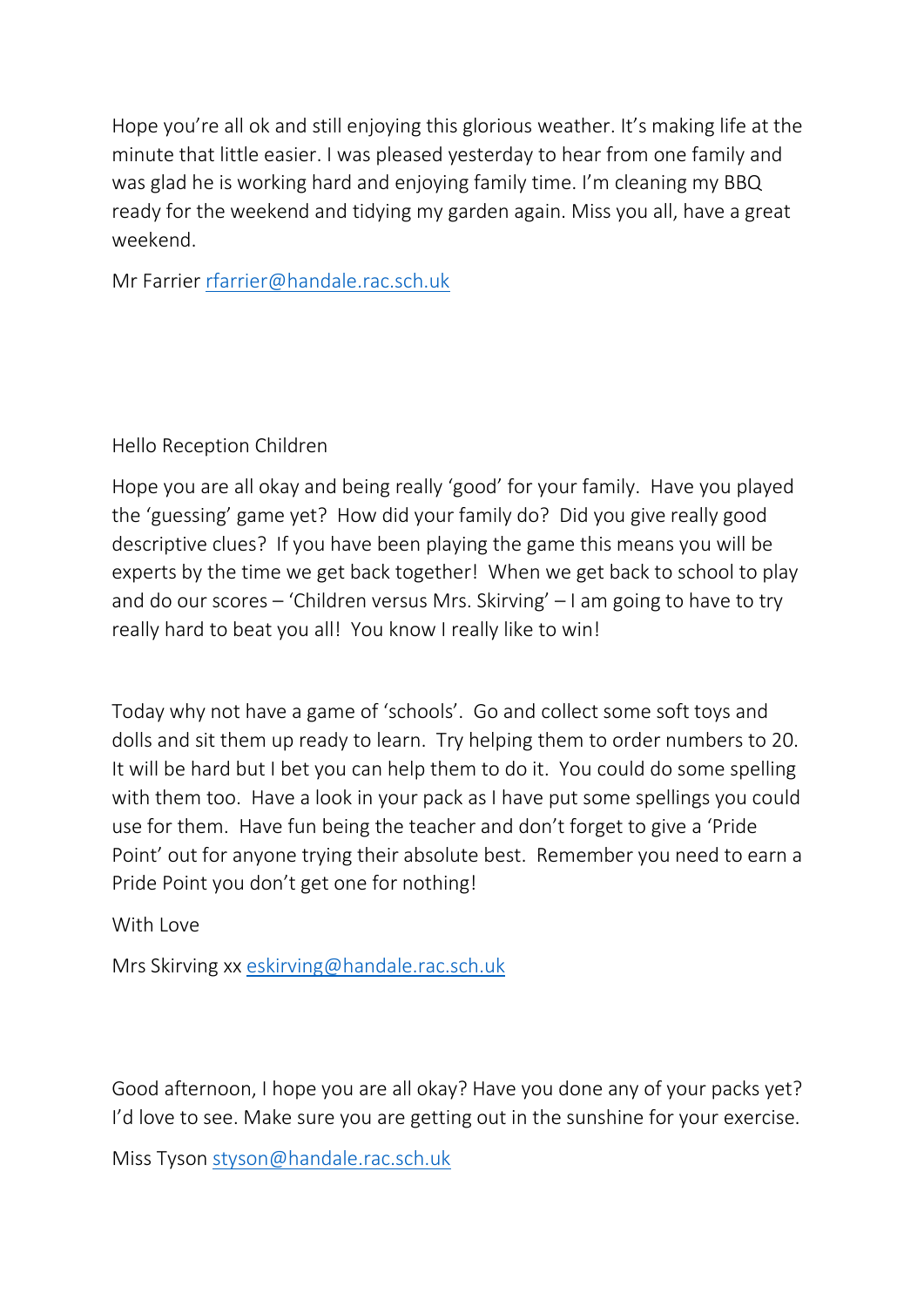Hope you're all ok and still enjoying this glorious weather. It's making life at the minute that little easier. I was pleased yesterday to hear from one family and was glad he is working hard and enjoying family time. I'm cleaning my BBQ ready for the weekend and tidying my garden again. Miss you all, have a great weekend.

Mr Farrier [rfarrier@handale.rac.sch.uk](mailto:rfarrier@handale.rac.sch.uk)

Hello Reception Children

Hope you are all okay and being really 'good' for your family. Have you played the 'guessing' game yet? How did your family do? Did you give really good descriptive clues? If you have been playing the game this means you will be experts by the time we get back together! When we get back to school to play and do our scores – 'Children versus Mrs. Skirving' – I am going to have to try really hard to beat you all! You know I really like to win!

Today why not have a game of 'schools'. Go and collect some soft toys and dolls and sit them up ready to learn. Try helping them to order numbers to 20. It will be hard but I bet you can help them to do it. You could do some spelling with them too. Have a look in your pack as I have put some spellings you could use for them. Have fun being the teacher and don't forget to give a 'Pride Point' out for anyone trying their absolute best. Remember you need to earn a Pride Point you don't get one for nothing!

With Love

Mrs Skirving xx [eskirving@handale.rac.sch.uk](mailto:eskirving@handale.rac.sch.uk)

Good afternoon, I hope you are all okay? Have you done any of your packs yet? I'd love to see. Make sure you are getting out in the sunshine for your exercise.

Miss Tyson [styson@handale.rac.sch.uk](mailto:styson@handale.rac.sch.uk)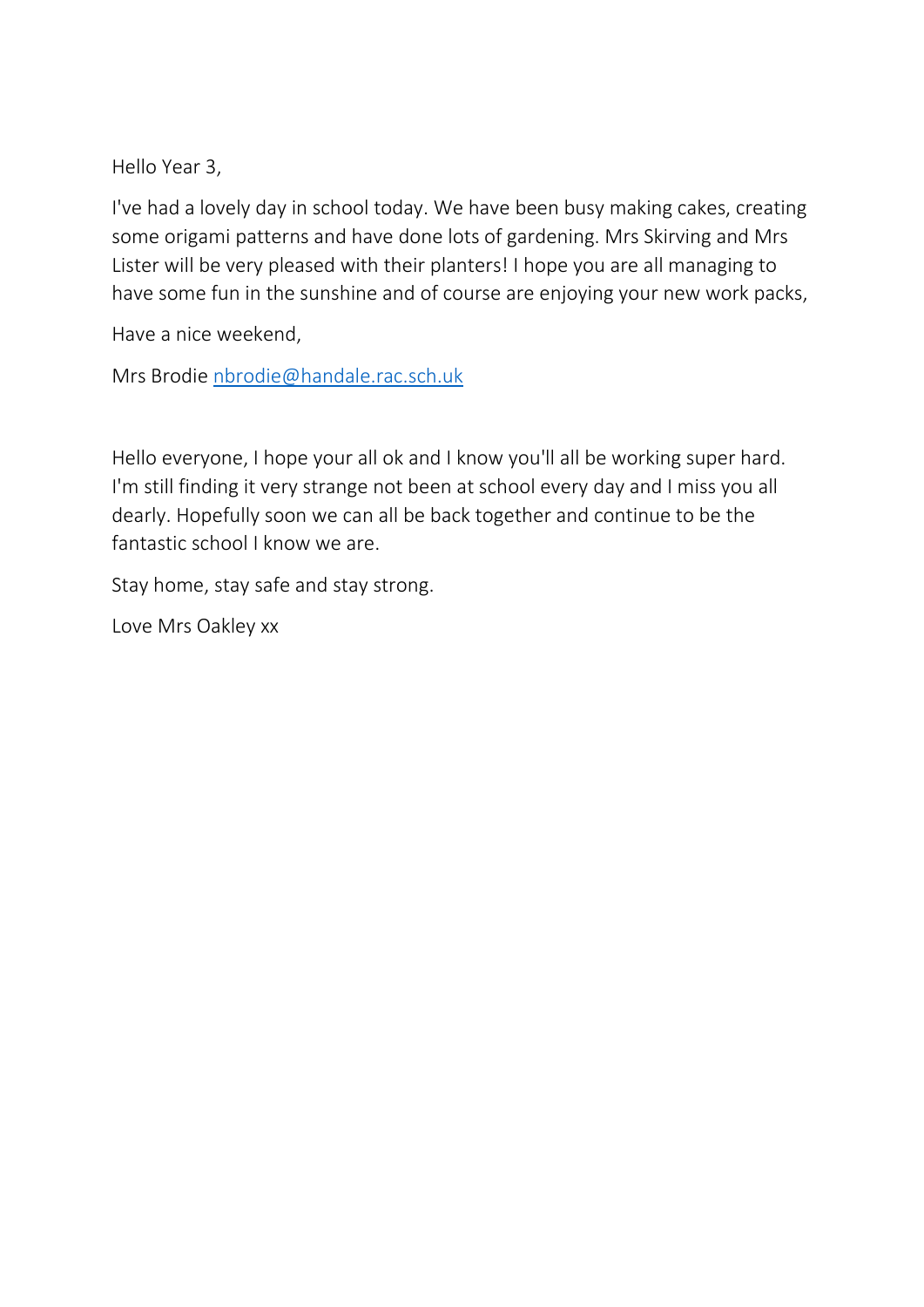Hello Year 3,

I've had a lovely day in school today. We have been busy making cakes, creating some origami patterns and have done lots of gardening. Mrs Skirving and Mrs Lister will be very pleased with their planters! I hope you are all managing to have some fun in the sunshine and of course are enjoying your new work packs,

Have a nice weekend,

Mrs Brodie [nbrodie@handale.rac.sch.uk](mailto:nbrodie@handale.rac.sch.uk)

Hello everyone, I hope your all ok and I know you'll all be working super hard. I'm still finding it very strange not been at school every day and I miss you all dearly. Hopefully soon we can all be back together and continue to be the fantastic school I know we are.

Stay home, stay safe and stay strong.

Love Mrs Oakley xx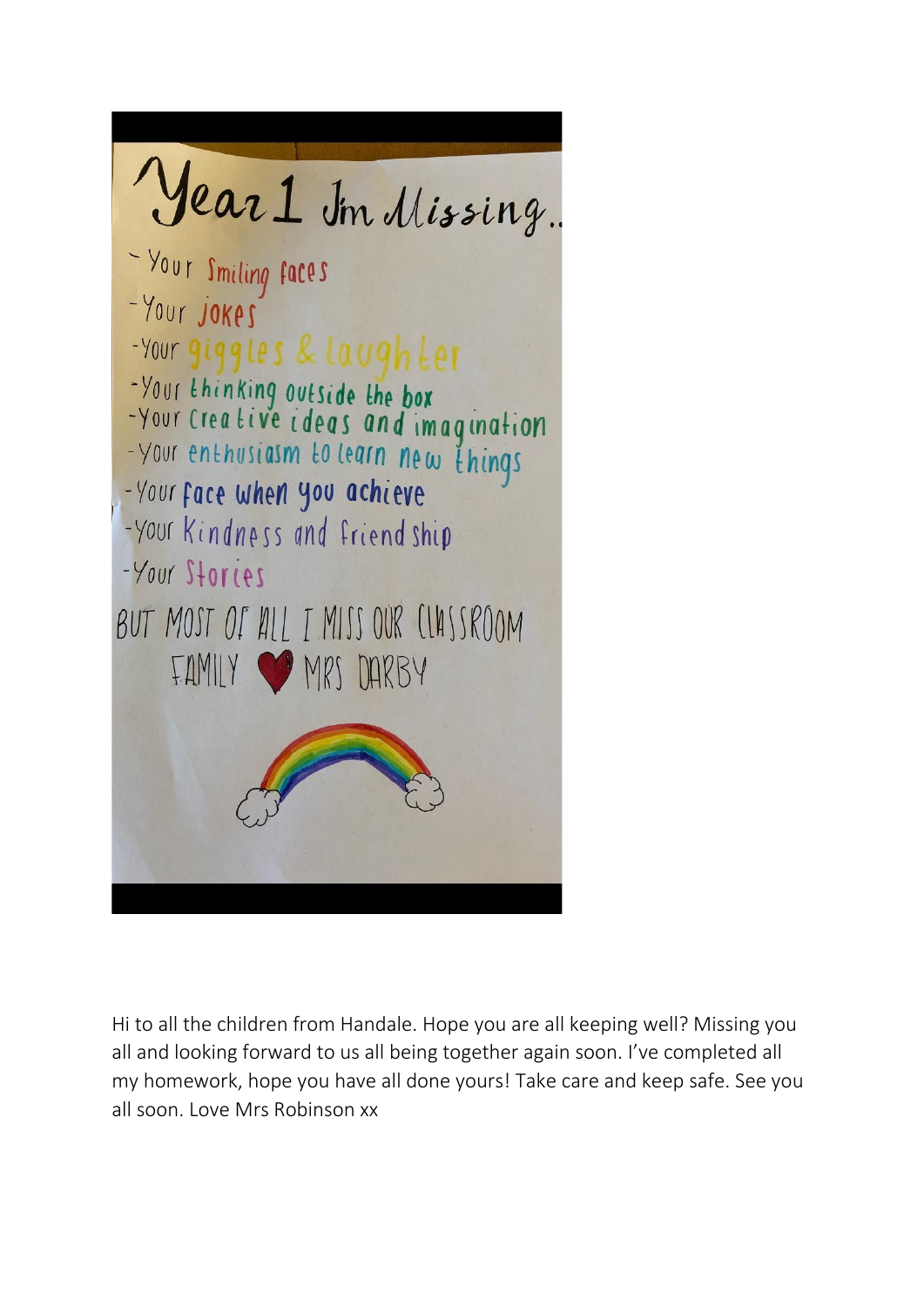

Hi to all the children from Handale. Hope you are all keeping well? Missing you all and looking forward to us all being together again soon. I've completed all my homework, hope you have all done yours! Take care and keep safe. See you all soon. Love Mrs Robinson xx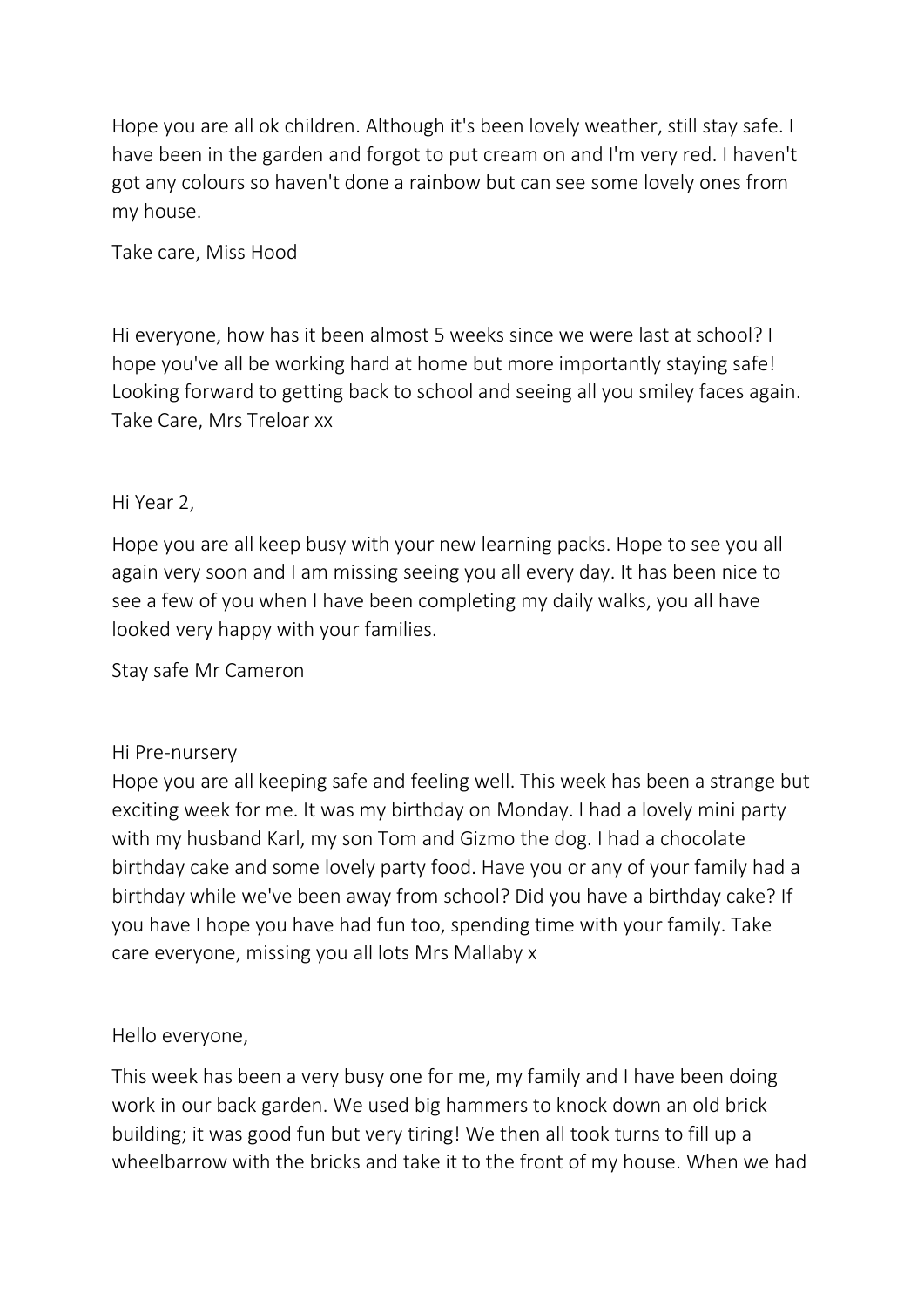Hope you are all ok children. Although it's been lovely weather, still stay safe. I have been in the garden and forgot to put cream on and I'm very red. I haven't got any colours so haven't done a rainbow but can see some lovely ones from my house.

Take care, Miss Hood

Hi everyone, how has it been almost 5 weeks since we were last at school? I hope you've all be working hard at home but more importantly staying safe! Looking forward to getting back to school and seeing all you smiley faces again. Take Care, Mrs Treloar xx

# Hi Year 2,

Hope you are all keep busy with your new learning packs. Hope to see you all again very soon and I am missing seeing you all every day. It has been nice to see a few of you when I have been completing my daily walks, you all have looked very happy with your families.

Stay safe Mr Cameron

## Hi Pre-nursery

Hope you are all keeping safe and feeling well. This week has been a strange but exciting week for me. It was my birthday on Monday. I had a lovely mini party with my husband Karl, my son Tom and Gizmo the dog. I had a chocolate birthday cake and some lovely party food. Have you or any of your family had a birthday while we've been away from school? Did you have a birthday cake? If you have I hope you have had fun too, spending time with your family. Take care everyone, missing you all lots Mrs Mallaby x

## Hello everyone,

This week has been a very busy one for me, my family and I have been doing work in our back garden. We used big hammers to knock down an old brick building; it was good fun but very tiring! We then all took turns to fill up a wheelbarrow with the bricks and take it to the front of my house. When we had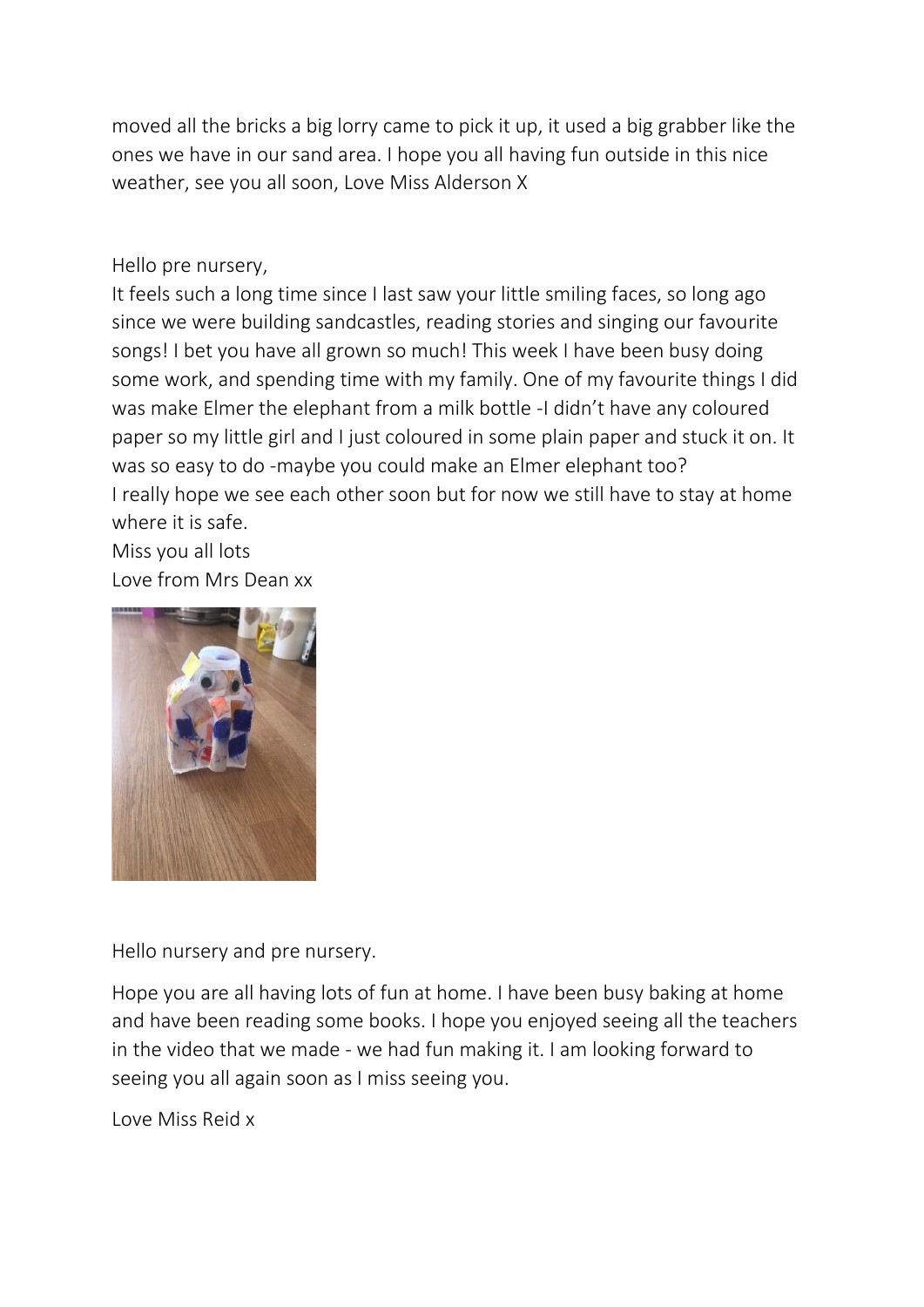moved all the bricks a big lorry came to pick it up, it used a big grabber like the ones we have in our sand area. I hope you all having fun outside in this nice weather, see you all soon, Love Miss Alderson X

Hello pre nursery,

It feels such a long time since I last saw your little smiling faces, so long ago since we were building sandcastles, reading stories and singing our favourite songs! I bet you have all grown so much! This week I have been busy doing some work, and spending time with my family. One of my favourite things I did was make Elmer the elephant from a milk bottle -I didn't have any coloured paper so my little girl and I just coloured in some plain paper and stuck it on. It was so easy to do -maybe you could make an Elmer elephant too? I really hope we see each other soon but for now we still have to stay at home where it is safe.

Miss you all lots Love from Mrs Dean xx



Hello nursery and pre nursery.

Hope you are all having lots of fun at home. I have been busy baking at home and have been reading some books. I hope you enjoyed seeing all the teachers in the video that we made - we had fun making it. I am looking forward to seeing you all again soon as I miss seeing you.

Love Miss Reid x